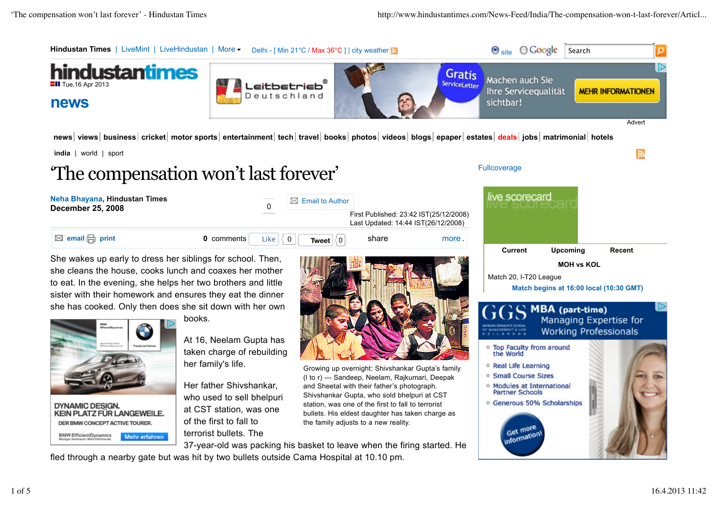

**DYNAMIC DESIGN.** KEIN PLATZ FÜR LANGEWEILE. DER BMW CONCEPT ACTIVE TOURER. **BMW EfficientDynamics** Mehr erfahren

Her father Shivshankar, who used to sell bhelpuri at CST station, was one of the first to fall to terrorist bullets. The

and Sheetal with their father's photograph. Shivshankar Gupta, who sold bhelpuri at CST station, was one of the first to fall to terrorist bullets. His eldest daughter has taken charge as the family adjusts to a new reality.

37-year-old was packing his basket to leave when the firing started. He

fled through a nearby gate but was hit by two bullets outside Cama Hospital at 10.10 pm.